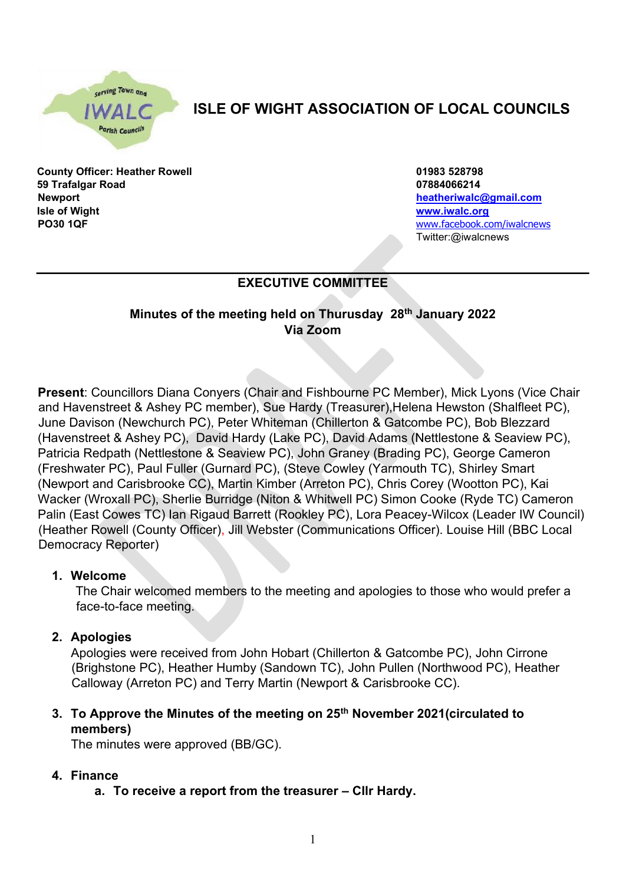cerving Town and

# **ISLE OF WIGHT ASSOCIATION OF LOCAL COUNCILS**

**County Officer: Heather Rowell 01983 528798 59 Trafalgar Road 07884066214 Newport heatheriwalc@gmail.com Isle of Wight [www.iwalc.org](http://www.iwalc.org/) PO30 1QF PO30 1QF** *PO30 1QF* 

Twitter:@iwalcnews

# **EXECUTIVE COMMITTEE**

## **Minutes of the meeting held on Thurusday 28th January 2022 Via Zoom**

**Present**: Councillors Diana Conyers (Chair and Fishbourne PC Member), Mick Lyons (Vice Chair and Havenstreet & Ashey PC member), Sue Hardy (Treasurer),Helena Hewston (Shalfleet PC), June Davison (Newchurch PC), Peter Whiteman (Chillerton & Gatcombe PC), Bob Blezzard (Havenstreet & Ashey PC), David Hardy (Lake PC), David Adams (Nettlestone & Seaview PC), Patricia Redpath (Nettlestone & Seaview PC), John Graney (Brading PC), George Cameron (Freshwater PC), Paul Fuller (Gurnard PC), (Steve Cowley (Yarmouth TC), Shirley Smart (Newport and Carisbrooke CC), Martin Kimber (Arreton PC), Chris Corey (Wootton PC), Kai Wacker (Wroxall PC), Sherlie Burridge (Niton & Whitwell PC) Simon Cooke (Ryde TC) Cameron Palin (East Cowes TC) Ian Rigaud Barrett (Rookley PC), Lora Peacey-Wilcox (Leader IW Council) (Heather Rowell (County Officer), Jill Webster (Communications Officer). Louise Hill (BBC Local Democracy Reporter)

#### **1. Welcome**

The Chair welcomed members to the meeting and apologies to those who would prefer a face-to-face meeting.

#### **2. Apologies**

Apologies were received from John Hobart (Chillerton & Gatcombe PC), John Cirrone (Brighstone PC), Heather Humby (Sandown TC), John Pullen (Northwood PC), Heather Calloway (Arreton PC) and Terry Martin (Newport & Carisbrooke CC).

## **3. To Approve the Minutes of the meeting on 25th November 2021(circulated to members)**

The minutes were approved (BB/GC).

#### **4. Finance**

**a. To receive a report from the treasurer – Cllr Hardy.**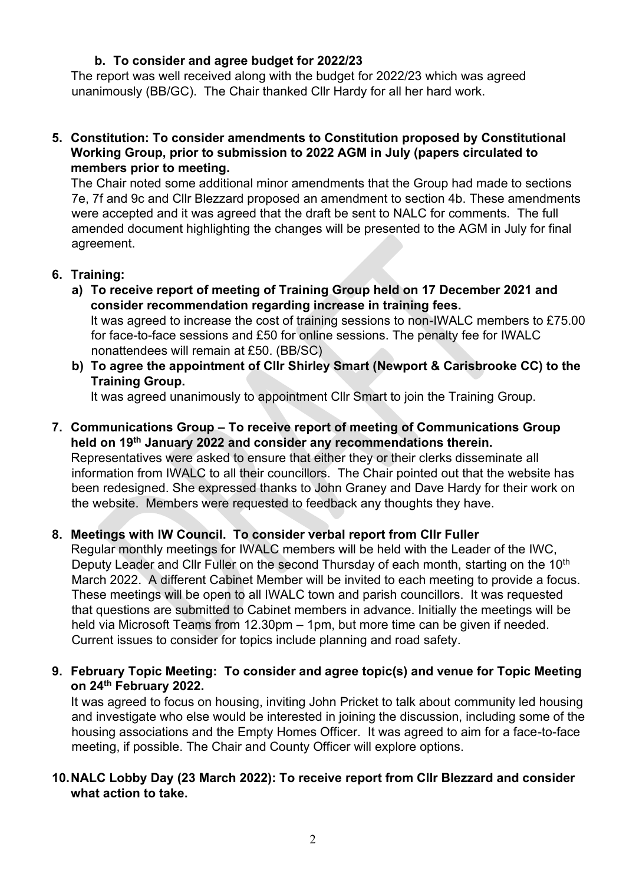#### **b. To consider and agree budget for 2022/23**

The report was well received along with the budget for 2022/23 which was agreed unanimously (BB/GC). The Chair thanked Cllr Hardy for all her hard work.

**5. Constitution: To consider amendments to Constitution proposed by Constitutional Working Group, prior to submission to 2022 AGM in July (papers circulated to members prior to meeting.** 

The Chair noted some additional minor amendments that the Group had made to sections 7e, 7f and 9c and Cllr Blezzard proposed an amendment to section 4b. These amendments were accepted and it was agreed that the draft be sent to NALC for comments. The full amended document highlighting the changes will be presented to the AGM in July for final agreement.

- **6. Training:** 
	- **a) To receive report of meeting of Training Group held on 17 December 2021 and consider recommendation regarding increase in training fees.**  It was agreed to increase the cost of training sessions to non-IWALC members to £75.00

for face-to-face sessions and £50 for online sessions. The penalty fee for IWALC nonattendees will remain at £50. (BB/SC)

**b) To agree the appointment of Cllr Shirley Smart (Newport & Carisbrooke CC) to the Training Group.** 

It was agreed unanimously to appointment Cllr Smart to join the Training Group.

**7. Communications Group – To receive report of meeting of Communications Group held on 19th January 2022 and consider any recommendations therein.** 

Representatives were asked to ensure that either they or their clerks disseminate all information from IWALC to all their councillors. The Chair pointed out that the website has been redesigned. She expressed thanks to John Graney and Dave Hardy for their work on the website. Members were requested to feedback any thoughts they have.

# **8. Meetings with IW Council. To consider verbal report from Cllr Fuller**

Regular monthly meetings for IWALC members will be held with the Leader of the IWC, Deputy Leader and Clir Fuller on the second Thursday of each month, starting on the 10<sup>th</sup> March 2022. A different Cabinet Member will be invited to each meeting to provide a focus. These meetings will be open to all IWALC town and parish councillors. It was requested that questions are submitted to Cabinet members in advance. Initially the meetings will be held via Microsoft Teams from 12.30pm – 1pm, but more time can be given if needed. Current issues to consider for topics include planning and road safety.

**9. February Topic Meeting: To consider and agree topic(s) and venue for Topic Meeting on 24th February 2022.**

It was agreed to focus on housing, inviting John Pricket to talk about community led housing and investigate who else would be interested in joining the discussion, including some of the housing associations and the Empty Homes Officer. It was agreed to aim for a face-to-face meeting, if possible. The Chair and County Officer will explore options.

#### **10.NALC Lobby Day (23 March 2022): To receive report from Cllr Blezzard and consider what action to take.**